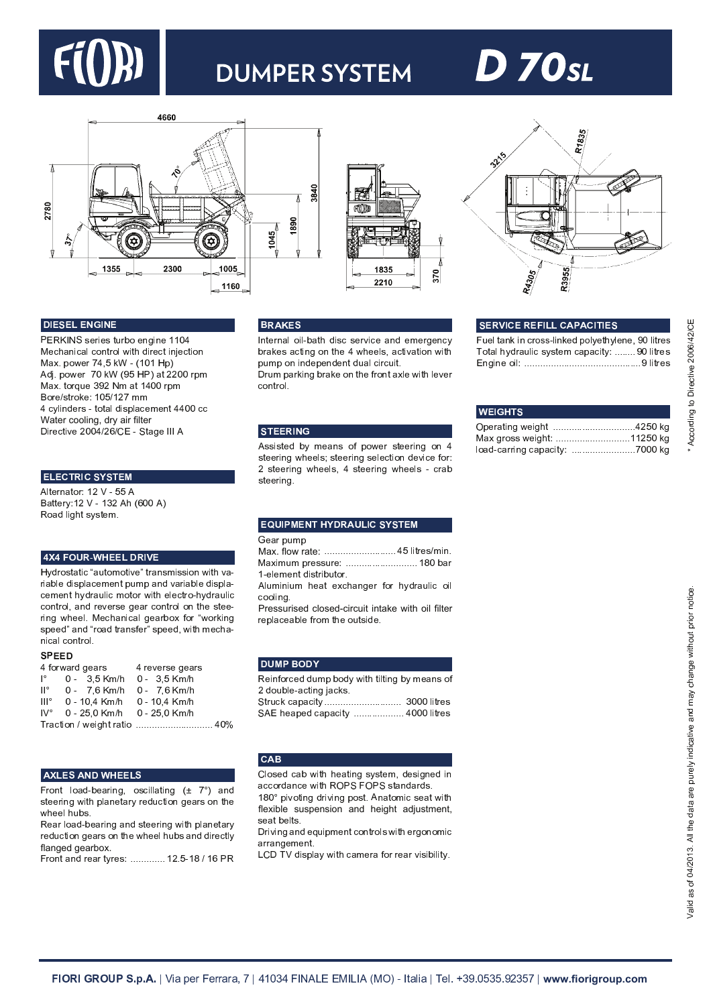

## **DUMPER SYSTEM**

# **D 70**sl







#### <sup>J</sup> <sup>K</sup> <sup>H</sup> <sup>k</sup> <sup>H</sup> <sup>I</sup> <sup>H</sup> <sup>¾</sup> » <sup>K</sup> <sup>¾</sup> <sup>H</sup>

<sup>Â</sup> · <sup>s</sup> <sup>n</sup> <sup>Ì</sup> <sup>¹</sup> <sup>R</sup> [ <sup>P</sup> U [ <sup>R</sup> <sup>S</sup> <sup>X</sup> <sup>P</sup> <sup>a</sup> <sup>Q</sup> [ ] <sup>e</sup> U ] [ <sup>w</sup> <sup>w</sup> <sup>p</sup> <sup>m</sup> Mechanical control with direct injection Max. power 74,5 kW - (101 Hp) <sup>º</sup> <sup>O</sup> ¸ <sup>f</sup> <sup>c</sup> <sup>Q</sup> ^ [ <sup>P</sup> <sup>u</sup> <sup>p</sup> <sup>j</sup> <sup>Í</sup> <sup>Ç</sup> <sup>r</sup> <sup>M</sup> <sup>Â</sup> <sup>É</sup> <sup>T</sup> <sup>S</sup> <sup>y</sup> <sup>y</sup> <sup>p</sup> <sup>p</sup> <sup>P</sup> <sup>c</sup> <sup>Y</sup> Max. torque 392 Nm at 1400 rpm Bore/stroke: 105/127 mm 4 cylinders - total displacement 4400 cc Water cooling, dry air filter <sup>Ä</sup> U P [ <sup>V</sup> <sup>S</sup> U Z [ <sup>y</sup> <sup>p</sup> <sup>p</sup> <sup>m</sup> <sup>t</sup> <sup>y</sup> <sup>v</sup> <sup>t</sup> <sup>Á</sup> ` <sup>¹</sup> <sup>S</sup> <sup>T</sup> <sup>e</sup> [ <sup>n</sup> <sup>n</sup> <sup>n</sup> <sup>º</sup>

#### -----------

<sup>º</sup> b S [ <sup>P</sup> ] <sup>T</sup> <sup>S</sup> <sup>Q</sup> <sup>P</sup> <sup>w</sup> <sup>y</sup> <sup>x</sup> ` <sup>r</sup> <sup>r</sup> <sup>º</sup> <sup>Î</sup> <sup>T</sup> <sup>S</sup> <sup>S</sup> [ P N <sup>w</sup> <sup>y</sup> <sup>x</sup> ` <sup>w</sup> <sup>q</sup> <sup>y</sup> <sup>º</sup> \_ <sup>Ç</sup> <sup>v</sup> <sup>p</sup> <sup>p</sup> <sup>º</sup> <sup>É</sup> Road light system.

#### **4X4 FOUR-WHEEL DRIVE**

Hydrostatic "automotive" transmission with variable displacement pump and variable displacement hydraulic motor with electro-hydraulic control, and reverse gear control on the steering wheel. Mechanical gearbox for "working speed" and "road transfer" speed, with mechanical control.

#### $- - -$

| 4 forward gears     |                                          | 4 reverse gears |
|---------------------|------------------------------------------|-----------------|
| $\mathsf{P}$        | 0 - 3.5 Km/h 0 - 3.5 Km/h                |                 |
| $\mathsf{II}^\circ$ | 0 - 7.6 Km/h 0 - 7.6 Km/h                |                 |
| III <sup>o</sup>    | 0 - 10.4 Km/h 0 - 10.4 Km/h              |                 |
|                     | $IV^{\circ}$ 0 - 25,0 Km/h 0 - 25,0 Km/h |                 |
|                     | Traction / weight ratio  40%             |                 |

#### **AXLES AND WHEELS**

<sup>Ã</sup> P Q ] <sup>S</sup> b Q <sup>T</sup> <sup>O</sup> ` <sup>a</sup> [ <sup>T</sup> <sup>P</sup> U ] <sup>e</sup> <sup>d</sup> <sup>Q</sup> <sup>R</sup> <sup>V</sup> U b b T <sup>S</sup> U ] <sup>e</sup> <sup>Ç</sup> <sup>È</sup> <sup>u</sup> <sup>o</sup> <sup>É</sup> <sup>T</sup> ] <sup>O</sup> steering with planetary reduction gears on the wheel hubs.

Rear load-bearing and steering with planetary reduction gears on the wheel hubs and directly flanged gearbox.

<sup>Ã</sup> P Q ] <sup>S</sup> <sup>T</sup> ] <sup>O</sup> P [ <sup>T</sup> <sup>P</sup> <sup>S</sup> <sup>N</sup> P [ <sup>R</sup> <sup>f</sup> <sup>f</sup> <sup>f</sup> <sup>f</sup> <sup>f</sup> <sup>f</sup> <sup>f</sup> <sup>f</sup> <sup>f</sup> <sup>f</sup> <sup>f</sup> <sup>f</sup> <sup>f</sup> <sup>w</sup> <sup>y</sup> <sup>f</sup> <sup>r</sup> ` <sup>w</sup> <sup>À</sup> <sup>t</sup> <sup>w</sup> <sup>v</sup> <sup>Â</sup> ·

#### <sup>µ</sup> <sup>D</sup> } <sup>Ê</sup> <sup>H</sup> <sup>k</sup>

Internal oil-bath disc service and emergency brakes acting on the 4 wheels, activation with pump on independent dual circuit.

Drum parking brake on the front axle with lever control.

#### <sup>k</sup> <sup>~</sup> <sup>H</sup> <sup>H</sup> <sup>D</sup> <sup>K</sup> <sup>¾</sup> »

 $\mathbf{R}$  represents the contribution of  $\mathbf{R}$  and  $\mathbf{R}$  are presented in the  $\mathbf{R}$ steering wheels; steering selection device for:  $2$  steering wheels, 4 steering wheels - crab steering.

#### **EQUIPMENT HYDRAULIC SYSTEM**

#### **∴**

Max. flow rate: .............................. 45 litres/min. Maximum pressure: ............................ 180 bar 1-element distributor

<sup>º</sup> b X <sup>Y</sup> U ] U X <sup>Y</sup> \_ [ <sup>T</sup> <sup>S</sup> [ <sup>h</sup> <sup>V</sup> \_ <sup>T</sup> ] <sup>e</sup> [ <sup>P</sup> <sup>i</sup> <sup>Q</sup> <sup>P</sup> \_ <sup>N</sup> <sup>O</sup> P T <sup>X</sup> b U V <sup>Q</sup> U b cooling.

Pressurised closed-circuit intake with oil filter replaceable from the outside.

#### <u>\_ . . . . . .</u> \_ .

Reinforced dump body with tilting by means of 2 double-acting jacks. <sup>¹</sup> <sup>S</sup> <sup>P</sup> <sup>X</sup> <sup>V</sup> <sup>j</sup> <sup>V</sup> <sup>T</sup> <sup>c</sup> <sup>T</sup> <sup>V</sup> U S <sup>N</sup> <sup>f</sup> <sup>f</sup> <sup>f</sup> <sup>f</sup> <sup>f</sup> <sup>f</sup> <sup>f</sup> <sup>f</sup> <sup>f</sup> <sup>f</sup> <sup>f</sup> <sup>f</sup> <sup>f</sup> <sup>f</sup> <sup>f</sup> <sup>f</sup> <sup>f</sup> <sup>f</sup> <sup>f</sup> <sup>f</sup> <sup>f</sup> <sup>f</sup> <sup>f</sup> <sup>f</sup> <sup>f</sup> <sup>f</sup> <sup>f</sup> <sup>f</sup> <sup>f</sup> <sup>q</sup> <sup>p</sup> <sup>p</sup> <sup>p</sup> b U S P [ <sup>R</sup>

<sup>¹</sup> <sup>º</sup> \_ [ <sup>T</sup> <sup>c</sup> [ <sup>O</sup> <sup>V</sup> <sup>T</sup> <sup>c</sup> <sup>T</sup> <sup>V</sup> U S <sup>N</sup> <sup>f</sup> <sup>f</sup> <sup>f</sup> <sup>f</sup> <sup>f</sup> <sup>f</sup> <sup>f</sup> <sup>f</sup> <sup>f</sup> <sup>f</sup> <sup>f</sup> <sup>f</sup> <sup>f</sup> <sup>f</sup> <sup>f</sup> <sup>f</sup> <sup>f</sup> <sup>f</sup> <sup>f</sup> <sup>m</sup> <sup>p</sup> <sup>p</sup> <sup>p</sup> b U S P [ <sup>R</sup>

#### $<sub>CAB</sub>$ </sub>

**b** a construction of the construction of the construction of the construction of the construction of the construction of the construction of the construction of the construction of the construction of the construction of The value of  $\mathcal{D}_\mathcal{A}$  is a state of  $\mathcal{D}_\mathcal{A}$  is a state of  $\mathcal{D}_\mathcal{A}$  and  $\mathcal{D}_\mathcal{A}$ flexible suspension and height adjustment, seat belts.

D riving and equipment controls with ergonomic arrangement

<sup>Æ</sup> <sup>Á</sup> <sup>Ä</sup> <sup>z</sup> <sup>x</sup> <sup>O</sup> U R <sup>c</sup> b T <sup>N</sup> ^ U S \_ <sup>V</sup> <sup>T</sup> <sup>Y</sup> [ P T <sup>i</sup> <sup>Q</sup> <sup>P</sup> P [ <sup>T</sup> <sup>P</sup> <sup>Z</sup> U R U a U b U S <sup>N</sup> <sup>f</sup>

## ] <sup>e</sup> U ] [ <sup>Q</sup> U b <sup>f</sup> <sup>f</sup> <sup>f</sup> <sup>f</sup> <sup>f</sup> <sup>f</sup> <sup>f</sup> <sup>f</sup> <sup>f</sup> <sup>f</sup> <sup>f</sup> <sup>f</sup> <sup>f</sup> <sup>f</sup> <sup>f</sup> <sup>f</sup> <sup>f</sup> <sup>f</sup> <sup>f</sup> <sup>f</sup> <sup>f</sup> <sup>f</sup> <sup>f</sup> <sup>f</sup> <sup>f</sup> <sup>f</sup> <sup>f</sup> <sup>f</sup> <sup>f</sup> <sup>f</sup> <sup>f</sup> <sup>f</sup> <sup>f</sup> <sup>f</sup> <sup>f</sup> <sup>f</sup> <sup>f</sup> <sup>f</sup> <sup>f</sup> <sup>f</sup> <sup>f</sup> <sup>f</sup> <sup>f</sup> <sup>f</sup> b U S P [ <sup>R</sup>

<sup>k</sup> <sup>H</sup> <sup>D</sup> <sup>L</sup> <sup>K</sup> <sup>|</sup> <sup>H</sup> <sup>D</sup> <sup>H</sup> <sup>A</sup> <sup>K</sup> <sup>I</sup> <sup>I</sup> <sup>|</sup> } <sup>l</sup> } <sup>|</sup> <sup>K</sup> <sup>~</sup> <sup>K</sup> <sup>H</sup> <sup>k</sup>

| <b>WEIGHTS</b>                 |  |
|--------------------------------|--|
| Operating weight 4250 kg       |  |
| Max gross weight: 11250 kg     |  |
| load-carring capacity: 7000 kg |  |

Fuel tank in cross-linked polyethylene, 90 litres Total hydraulic system capacity: ........90 litres